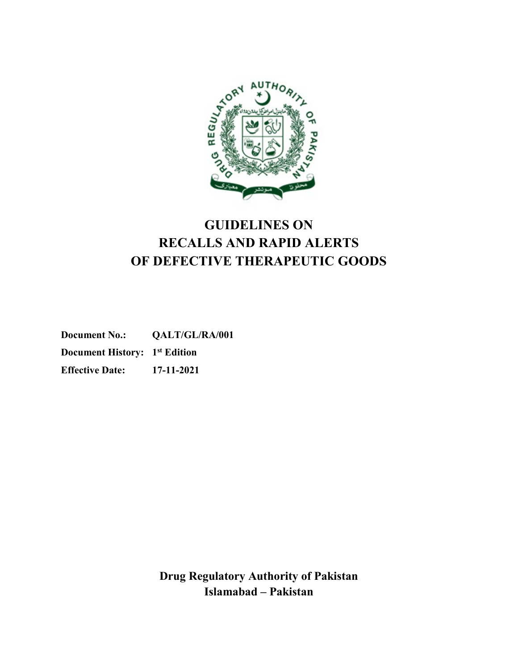

# **GUIDELINES ON RECALLS AND RAPID ALERTS OF DEFECTIVE THERAPEUTIC GOODS**

**Document No.: QALT/GL/RA/001 Document History: 1st Edition Effective Date: 17-11-2021**

> **Drug Regulatory Authority of Pakistan Islamabad – Pakistan**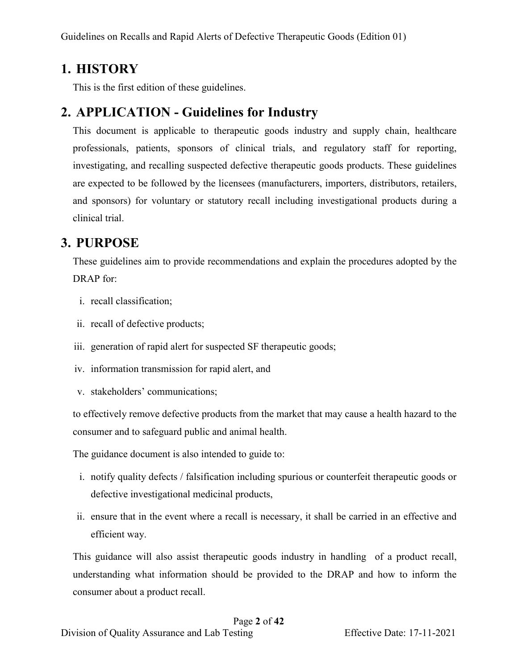## <span id="page-1-0"></span>**1. HISTORY**

This is the first edition of these guidelines.

# <span id="page-1-1"></span>**2. APPLICATION - Guidelines for Industry**

This document is applicable to therapeutic goods industry and supply chain, healthcare professionals, patients, sponsors of clinical trials, and regulatory staff for reporting, investigating, and recalling suspected defective therapeutic goods products. These guidelines are expected to be followed by the licensees (manufacturers, importers, distributors, retailers, and sponsors) for voluntary or statutory recall including investigational products during a clinical trial.

# <span id="page-1-2"></span>**3. PURPOSE**

These guidelines aim to provide recommendations and explain the procedures adopted by the DRAP for:

- i. recall classification;
- ii. recall of defective products;
- iii. generation of rapid alert for suspected SF therapeutic goods;
- iv. information transmission for rapid alert, and
- v. stakeholders' communications;

to effectively remove defective products from the market that may cause a health hazard to the consumer and to safeguard public and animal health.

The guidance document is also intended to guide to:

- i. notify quality defects / falsification including spurious or counterfeit therapeutic goods or defective investigational medicinal products,
- ii. ensure that in the event where a recall is necessary, it shall be carried in an effective and efficient way.

This guidance will also assist therapeutic goods industry in handling of a product recall, understanding what information should be provided to the DRAP and how to inform the consumer about a product recall.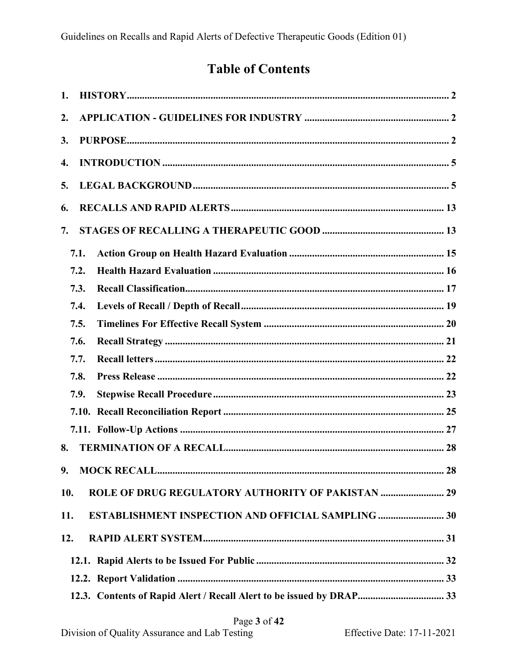# **Table of Contents**

| $\overline{2}$ .<br>3.<br>4.<br>5.<br>6.<br>7.<br>7.1.<br>7.2.<br>7.3.<br>7.4.<br>7.5. |
|----------------------------------------------------------------------------------------|
|                                                                                        |
|                                                                                        |
|                                                                                        |
|                                                                                        |
|                                                                                        |
|                                                                                        |
|                                                                                        |
|                                                                                        |
|                                                                                        |
|                                                                                        |
|                                                                                        |
| 7.6.                                                                                   |
| 7.7.                                                                                   |
| 7.8.                                                                                   |
| 7.9.                                                                                   |
|                                                                                        |
|                                                                                        |
| 8.                                                                                     |
| 9.                                                                                     |
| ROLE OF DRUG REGULATORY AUTHORITY OF PAKISTAN  29<br>10.                               |
| ESTABLISHMENT INSPECTION AND OFFICIAL SAMPLING 30<br>11.                               |
| 12.                                                                                    |
|                                                                                        |
|                                                                                        |
| 12.3. Contents of Rapid Alert / Recall Alert to be issued by DRAP 33                   |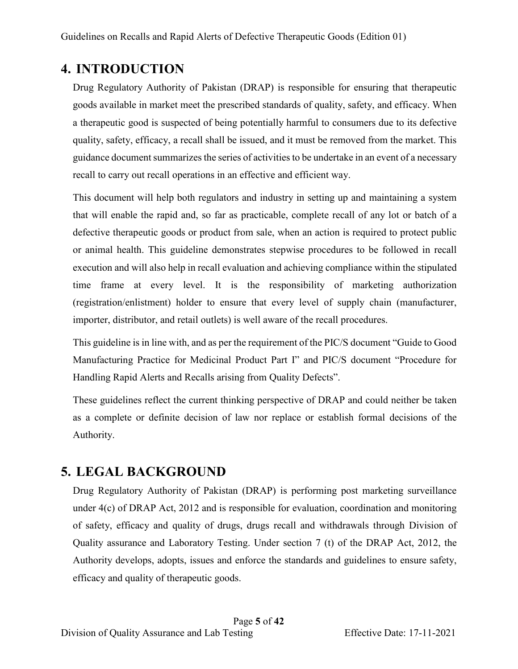## <span id="page-4-0"></span>**4. INTRODUCTION**

Drug Regulatory Authority of Pakistan (DRAP) is responsible for ensuring that therapeutic goods available in market meet the prescribed standards of quality, safety, and efficacy. When a therapeutic good is suspected of being potentially harmful to consumers due to its defective quality, safety, efficacy, a recall shall be issued, and it must be removed from the market. This guidance document summarizes the series of activities to be undertake in an event of a necessary recall to carry out recall operations in an effective and efficient way.

This document will help both regulators and industry in setting up and maintaining a system that will enable the rapid and, so far as practicable, complete recall of any lot or batch of a defective therapeutic goods or product from sale, when an action is required to protect public or animal health. This guideline demonstrates stepwise procedures to be followed in recall execution and will also help in recall evaluation and achieving compliance within the stipulated time frame at every level. It is the responsibility of marketing authorization (registration/enlistment) holder to ensure that every level of supply chain (manufacturer, importer, distributor, and retail outlets) is well aware of the recall procedures.

This guideline is in line with, and as per the requirement of the PIC/S document "Guide to Good Manufacturing Practice for Medicinal Product Part I" and PIC/S document "Procedure for Handling Rapid Alerts and Recalls arising from Quality Defects".

These guidelines reflect the current thinking perspective of DRAP and could neither be taken as a complete or definite decision of law nor replace or establish formal decisions of the Authority.

## <span id="page-4-1"></span>**5. LEGAL BACKGROUND**

Drug Regulatory Authority of Pakistan (DRAP) is performing post marketing surveillance under 4(c) of DRAP Act, 2012 and is responsible for evaluation, coordination and monitoring of safety, efficacy and quality of drugs, drugs recall and withdrawals through Division of Quality assurance and Laboratory Testing. Under section 7 (t) of the DRAP Act, 2012, the Authority develops, adopts, issues and enforce the standards and guidelines to ensure safety, efficacy and quality of therapeutic goods.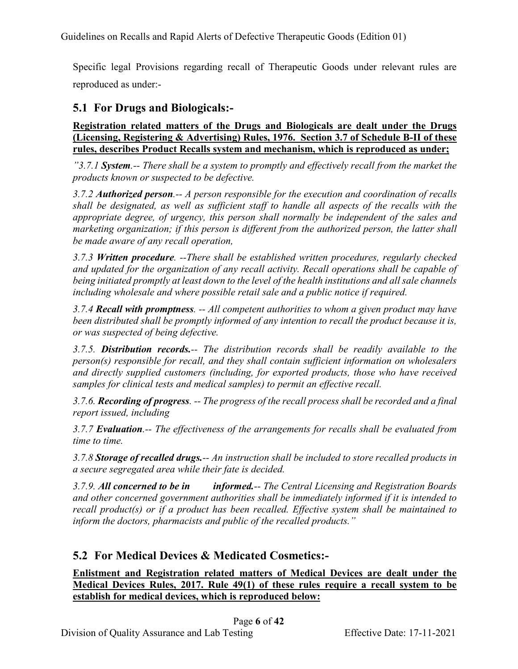Specific legal Provisions regarding recall of Therapeutic Goods under relevant rules are reproduced as under:-

## **5.1 For Drugs and Biologicals:-**

**Registration related matters of the Drugs and Biologicals are dealt under the Drugs (Licensing, Registering & Advertising) Rules, 1976. Section 3.7 of Schedule B-II of these rules, describes Product Recalls system and mechanism, which is reproduced as under;**

*"3.7.1 System.-- There shall be a system to promptly and effectively recall from the market the products known or suspected to be defective.*

*3.7.2 Authorized person.-- A person responsible for the execution and coordination of recalls shall be designated, as well as sufficient staff to handle all aspects of the recalls with the appropriate degree, of urgency, this person shall normally be independent of the sales and marketing organization; if this person is different from the authorized person, the latter shall be made aware of any recall operation,*

*3.7.3 Written procedure. --There shall be established written procedures, regularly checked and updated for the organization of any recall activity. Recall operations shall be capable of being initiated promptly at least down to the level of the health institutions and all sale channels including wholesale and where possible retail sale and a public notice if required.*

*3.7.4 Recall with promptness. -- All competent authorities to whom a given product may have been distributed shall be promptly informed of any intention to recall the product because it is, or was suspected of being defective.*

*3.7.5. Distribution records.-- The distribution records shall be readily available to the person(s) responsible for recall, and they shall contain sufficient information on wholesalers and directly supplied customers (including, for exported products, those who have received samples for clinical tests and medical samples) to permit an effective recall.*

*3.7.6. Recording of progress. -- The progress of the recall process shall be recorded and a final report issued, including*

*3.7.7 Evaluation.-- The effectiveness of the arrangements for recalls shall be evaluated from time to time.*

*3.7.8 Storage of recalled drugs.-- An instruction shall be included to store recalled products in a secure segregated area while their fate is decided.*

*3.7.9. All concerned to be in informed.-- The Central Licensing and Registration Boards and other concerned government authorities shall be immediately informed if it is intended to recall product(s) or if a product has been recalled. Effective system shall be maintained to inform the doctors, pharmacists and public of the recalled products."*

## **5.2 For Medical Devices & Medicated Cosmetics:-**

**Enlistment and Registration related matters of Medical Devices are dealt under the Medical Devices Rules, 2017. Rule 49(1) of these rules require a recall system to be establish for medical devices, which is reproduced below:**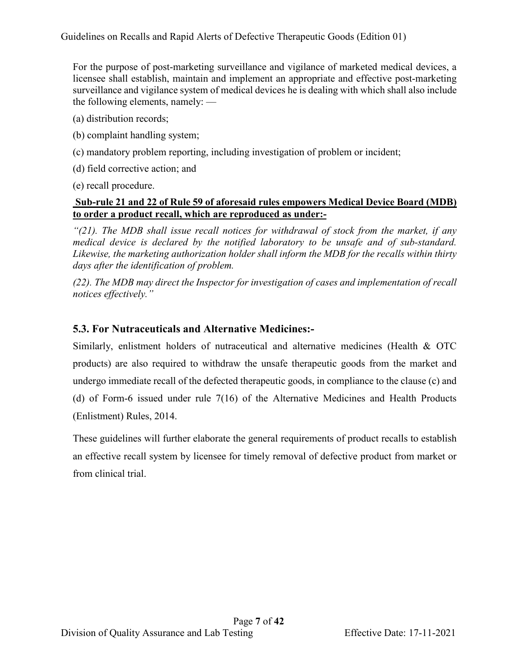For the purpose of post-marketing surveillance and vigilance of marketed medical devices, a licensee shall establish, maintain and implement an appropriate and effective post-marketing surveillance and vigilance system of medical devices he is dealing with which shall also include the following elements, namely: —

- (a) distribution records;
- (b) complaint handling system;
- (c) mandatory problem reporting, including investigation of problem or incident;
- (d) field corrective action; and
- (e) recall procedure.

#### **Sub-rule 21 and 22 of Rule 59 of aforesaid rules empowers Medical Device Board (MDB) to order a product recall, which are reproduced as under:-**

*"(21). The MDB shall issue recall notices for withdrawal of stock from the market, if any medical device is declared by the notified laboratory to be unsafe and of sub-standard. Likewise, the marketing authorization holder shall inform the MDB for the recalls within thirty days after the identification of problem.* 

*(22). The MDB may direct the Inspector for investigation of cases and implementation of recall notices effectively."*

## **5.3. For Nutraceuticals and Alternative Medicines:-**

Similarly, enlistment holders of nutraceutical and alternative medicines (Health & OTC products) are also required to withdraw the unsafe therapeutic goods from the market and undergo immediate recall of the defected therapeutic goods, in compliance to the clause (c) and (d) of Form-6 issued under rule 7(16) of the Alternative Medicines and Health Products (Enlistment) Rules, 2014.

These guidelines will further elaborate the general requirements of product recalls to establish an effective recall system by licensee for timely removal of defective product from market or from clinical trial.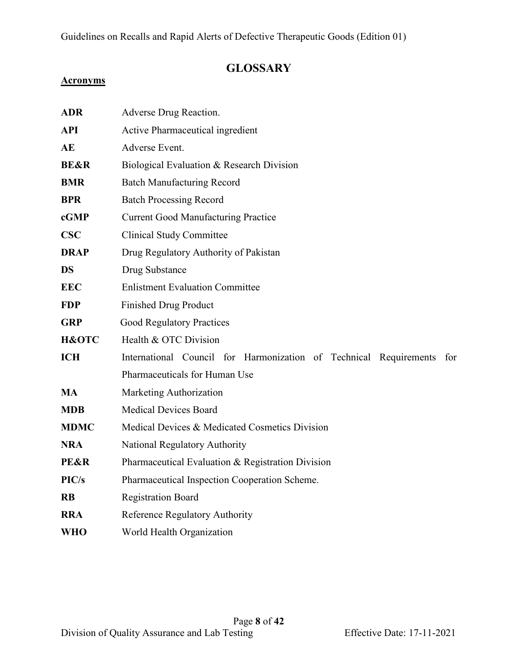## **GLOSSARY**

#### **Acronyms**

| <b>ADR</b>       | Adverse Drug Reaction.                                                   |  |  |  |  |
|------------------|--------------------------------------------------------------------------|--|--|--|--|
| <b>API</b>       | Active Pharmaceutical ingredient                                         |  |  |  |  |
| AE               | Adverse Event.                                                           |  |  |  |  |
| <b>BE&amp;R</b>  | Biological Evaluation & Research Division                                |  |  |  |  |
| <b>BMR</b>       | <b>Batch Manufacturing Record</b>                                        |  |  |  |  |
| <b>BPR</b>       | <b>Batch Processing Record</b>                                           |  |  |  |  |
| cGMP             | <b>Current Good Manufacturing Practice</b>                               |  |  |  |  |
| <b>CSC</b>       | <b>Clinical Study Committee</b>                                          |  |  |  |  |
| <b>DRAP</b>      | Drug Regulatory Authority of Pakistan                                    |  |  |  |  |
| <b>DS</b>        | Drug Substance                                                           |  |  |  |  |
| <b>EEC</b>       | <b>Enlistment Evaluation Committee</b>                                   |  |  |  |  |
| <b>FDP</b>       | <b>Finished Drug Product</b>                                             |  |  |  |  |
| <b>GRP</b>       | <b>Good Regulatory Practices</b>                                         |  |  |  |  |
| <b>H&amp;OTC</b> | Health & OTC Division                                                    |  |  |  |  |
| <b>ICH</b>       | International Council for Harmonization of Technical Requirements<br>for |  |  |  |  |
|                  | Pharmaceuticals for Human Use                                            |  |  |  |  |
| <b>MA</b>        | Marketing Authorization                                                  |  |  |  |  |
| <b>MDB</b>       | <b>Medical Devices Board</b>                                             |  |  |  |  |
| <b>MDMC</b>      | Medical Devices & Medicated Cosmetics Division                           |  |  |  |  |
| <b>NRA</b>       | National Regulatory Authority                                            |  |  |  |  |
| <b>PE&amp;R</b>  | Pharmaceutical Evaluation & Registration Division                        |  |  |  |  |
| PIC/s            | Pharmaceutical Inspection Cooperation Scheme.                            |  |  |  |  |
| <b>RB</b>        | <b>Registration Board</b>                                                |  |  |  |  |
| <b>RRA</b>       | Reference Regulatory Authority                                           |  |  |  |  |
| <b>WHO</b>       | World Health Organization                                                |  |  |  |  |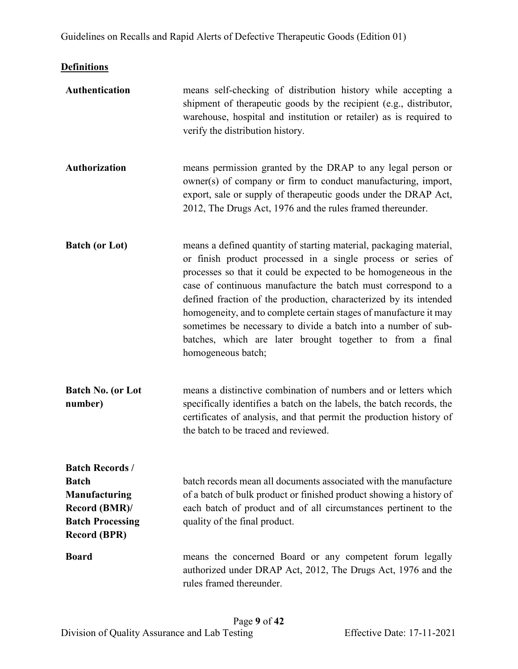## **Definitions**

| Authentication                                                                                                                   | means self-checking of distribution history while accepting a<br>shipment of therapeutic goods by the recipient (e.g., distributor,<br>warehouse, hospital and institution or retailer) as is required to<br>verify the distribution history.                                                                                                                                                                                                                                                                                                                         |
|----------------------------------------------------------------------------------------------------------------------------------|-----------------------------------------------------------------------------------------------------------------------------------------------------------------------------------------------------------------------------------------------------------------------------------------------------------------------------------------------------------------------------------------------------------------------------------------------------------------------------------------------------------------------------------------------------------------------|
| <b>Authorization</b>                                                                                                             | means permission granted by the DRAP to any legal person or<br>owner(s) of company or firm to conduct manufacturing, import,<br>export, sale or supply of therapeutic goods under the DRAP Act,<br>2012, The Drugs Act, 1976 and the rules framed thereunder.                                                                                                                                                                                                                                                                                                         |
| <b>Batch (or Lot)</b>                                                                                                            | means a defined quantity of starting material, packaging material,<br>or finish product processed in a single process or series of<br>processes so that it could be expected to be homogeneous in the<br>case of continuous manufacture the batch must correspond to a<br>defined fraction of the production, characterized by its intended<br>homogeneity, and to complete certain stages of manufacture it may<br>sometimes be necessary to divide a batch into a number of sub-<br>batches, which are later brought together to from a final<br>homogeneous batch; |
| <b>Batch No. (or Lot</b><br>number)                                                                                              | means a distinctive combination of numbers and or letters which<br>specifically identifies a batch on the labels, the batch records, the<br>certificates of analysis, and that permit the production history of<br>the batch to be traced and reviewed.                                                                                                                                                                                                                                                                                                               |
| <b>Batch Records/</b><br><b>Batch</b><br><b>Manufacturing</b><br>Record (BMR)/<br><b>Batch Processing</b><br><b>Record (BPR)</b> | batch records mean all documents associated with the manufacture<br>of a batch of bulk product or finished product showing a history of<br>each batch of product and of all circumstances pertinent to the<br>quality of the final product.                                                                                                                                                                                                                                                                                                                           |
| <b>Board</b>                                                                                                                     | means the concerned Board or any competent forum legally<br>authorized under DRAP Act, 2012, The Drugs Act, 1976 and the<br>rules framed thereunder.                                                                                                                                                                                                                                                                                                                                                                                                                  |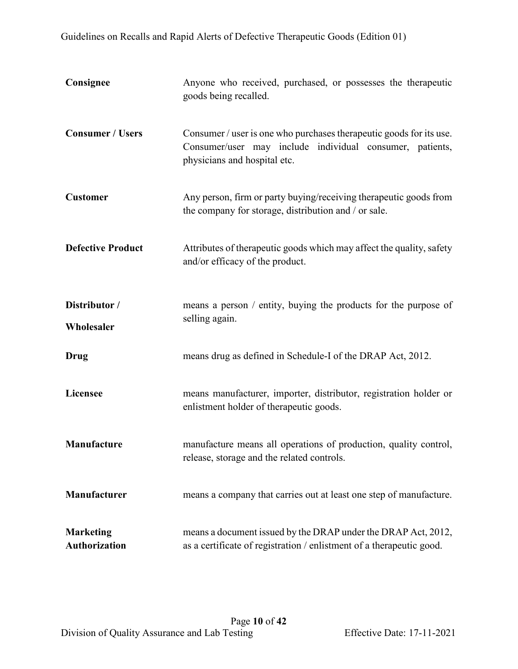| Consignee                                | Anyone who received, purchased, or possesses the therapeutic<br>goods being recalled.                                                                           |  |  |
|------------------------------------------|-----------------------------------------------------------------------------------------------------------------------------------------------------------------|--|--|
| <b>Consumer / Users</b>                  | Consumer / user is one who purchases therapeutic goods for its use.<br>Consumer/user may include individual consumer, patients,<br>physicians and hospital etc. |  |  |
| <b>Customer</b>                          | Any person, firm or party buying/receiving therapeutic goods from<br>the company for storage, distribution and / or sale.                                       |  |  |
| <b>Defective Product</b>                 | Attributes of therapeutic goods which may affect the quality, safety<br>and/or efficacy of the product.                                                         |  |  |
| Distributor /<br>Wholesaler              | means a person / entity, buying the products for the purpose of<br>selling again.                                                                               |  |  |
| Drug                                     | means drug as defined in Schedule-I of the DRAP Act, 2012.                                                                                                      |  |  |
| Licensee                                 | means manufacturer, importer, distributor, registration holder or<br>enlistment holder of therapeutic goods.                                                    |  |  |
| Manufacture                              | manufacture means all operations of production, quality control,<br>release, storage and the related controls.                                                  |  |  |
| Manufacturer                             | means a company that carries out at least one step of manufacture.                                                                                              |  |  |
| <b>Marketing</b><br><b>Authorization</b> | means a document issued by the DRAP under the DRAP Act, 2012,<br>as a certificate of registration / enlistment of a therapeutic good.                           |  |  |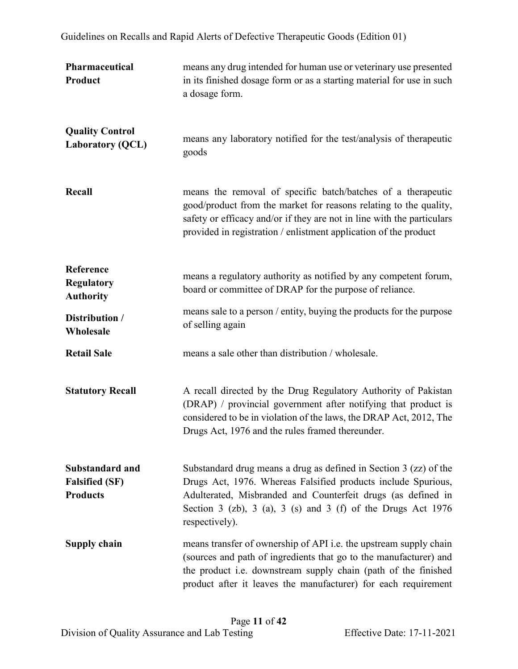| Pharmaceutical<br>Product                                          | means any drug intended for human use or veterinary use presented<br>in its finished dosage form or as a starting material for use in such<br>a dosage form.                                                                                                                           |  |
|--------------------------------------------------------------------|----------------------------------------------------------------------------------------------------------------------------------------------------------------------------------------------------------------------------------------------------------------------------------------|--|
| <b>Quality Control</b><br><b>Laboratory (QCL)</b>                  | means any laboratory notified for the test/analysis of therapeutic<br>goods                                                                                                                                                                                                            |  |
| Recall                                                             | means the removal of specific batch/batches of a therapeutic<br>good/product from the market for reasons relating to the quality,<br>safety or efficacy and/or if they are not in line with the particulars<br>provided in registration / enlistment application of the product        |  |
| Reference<br><b>Regulatory</b><br><b>Authority</b>                 | means a regulatory authority as notified by any competent forum,<br>board or committee of DRAP for the purpose of reliance.                                                                                                                                                            |  |
| Distribution /<br>Wholesale                                        | means sale to a person / entity, buying the products for the purpose<br>of selling again                                                                                                                                                                                               |  |
| <b>Retail Sale</b>                                                 | means a sale other than distribution / wholesale.                                                                                                                                                                                                                                      |  |
| <b>Statutory Recall</b>                                            | A recall directed by the Drug Regulatory Authority of Pakistan<br>(DRAP) / provincial government after notifying that product is<br>considered to be in violation of the laws, the DRAP Act, 2012, The<br>Drugs Act, 1976 and the rules framed thereunder.                             |  |
| <b>Substandard and</b><br><b>Falsified (SF)</b><br><b>Products</b> | Substandard drug means a drug as defined in Section 3 (zz) of the<br>Drugs Act, 1976. Whereas Falsified products include Spurious,<br>Adulterated, Misbranded and Counterfeit drugs (as defined in<br>Section 3 (zb), 3 (a), 3 (s) and 3 (f) of the Drugs Act $1976$<br>respectively). |  |
| <b>Supply chain</b>                                                | means transfer of ownership of API i.e. the upstream supply chain<br>(sources and path of ingredients that go to the manufacturer) and<br>the product i.e. downstream supply chain (path of the finished<br>product after it leaves the manufacturer) for each requirement             |  |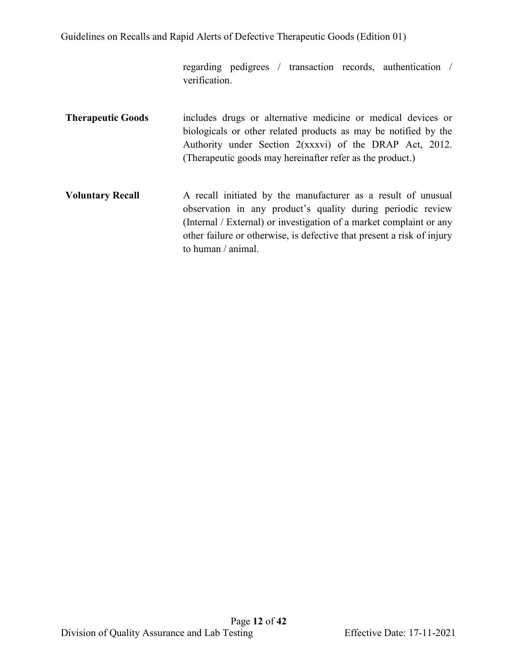regarding pedigrees / transaction records, authentication / verification.

- **Therapeutic Goods** includes drugs or alternative medicine or medical devices or biologicals or other related products as may be notified by the Authority under Section 2(xxxvi) of the DRAP Act, 2012. (Therapeutic goods may hereinafter refer as the product.)
- **Voluntary Recall** A recall initiated by the manufacturer as a result of unusual observation in any product's quality during periodic review (Internal / External) or investigation of a market complaint or any other failure or otherwise, is defective that present a risk of injury to human / animal.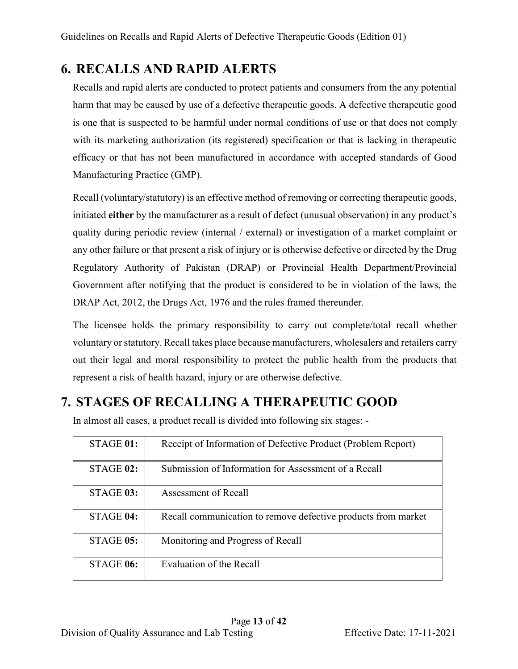# <span id="page-12-0"></span>**6. RECALLS AND RAPID ALERTS**

Recalls and rapid alerts are conducted to protect patients and consumers from the any potential harm that may be caused by use of a defective therapeutic goods. A defective therapeutic good is one that is suspected to be harmful under normal conditions of use or that does not comply with its marketing authorization (its registered) specification or that is lacking in therapeutic efficacy or that has not been manufactured in accordance with accepted standards of Good Manufacturing Practice (GMP).

Recall (voluntary/statutory) is an effective method of removing or correcting therapeutic goods, initiated **either** by the manufacturer as a result of defect (unusual observation) in any product's quality during periodic review (internal / external) or investigation of a market complaint or any other failure or that present a risk of injury or is otherwise defective or directed by the Drug Regulatory Authority of Pakistan (DRAP) or Provincial Health Department/Provincial Government after notifying that the product is considered to be in violation of the laws, the DRAP Act, 2012, the Drugs Act, 1976 and the rules framed thereunder.

The licensee holds the primary responsibility to carry out complete/total recall whether voluntary or statutory. Recall takes place because manufacturers, wholesalers and retailers carry out their legal and moral responsibility to protect the public health from the products that represent a risk of health hazard, injury or are otherwise defective.

# <span id="page-12-1"></span>**7. STAGES OF RECALLING A THERAPEUTIC GOOD**

| STAGE 01:        | Receipt of Information of Defective Product (Problem Report)  |
|------------------|---------------------------------------------------------------|
| $STAGE$ 02:      | Submission of Information for Assessment of a Recall          |
| STAGE 03:        | Assessment of Recall                                          |
| STAGE 04:        | Recall communication to remove defective products from market |
| <b>STAGE 05:</b> | Monitoring and Progress of Recall                             |
| STAGE 06:        | Evaluation of the Recall                                      |

In almost all cases, a product recall is divided into following six stages: -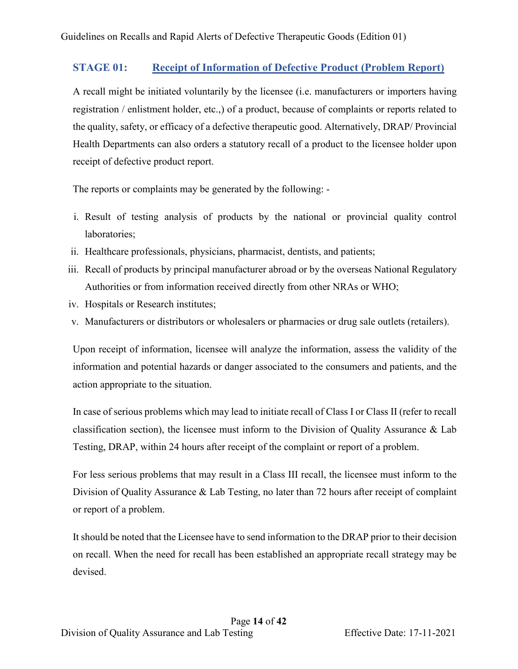### **STAGE 01: Receipt of Information of Defective Product (Problem Report)**

A recall might be initiated voluntarily by the licensee (i.e. manufacturers or importers having registration / enlistment holder, etc.,) of a product, because of complaints or reports related to the quality, safety, or efficacy of a defective therapeutic good. Alternatively, DRAP/ Provincial Health Departments can also orders a statutory recall of a product to the licensee holder upon receipt of defective product report.

The reports or complaints may be generated by the following: -

- i. Result of testing analysis of products by the national or provincial quality control laboratories;
- ii. Healthcare professionals, physicians, pharmacist, dentists, and patients;
- iii. Recall of products by principal manufacturer abroad or by the overseas National Regulatory Authorities or from information received directly from other NRAs or WHO;
- iv. Hospitals or Research institutes;
- v. Manufacturers or distributors or wholesalers or pharmacies or drug sale outlets (retailers).

Upon receipt of information, licensee will analyze the information, assess the validity of the information and potential hazards or danger associated to the consumers and patients, and the action appropriate to the situation.

In case of serious problems which may lead to initiate recall of Class I or Class II (refer to recall classification section), the licensee must inform to the Division of Quality Assurance & Lab Testing, DRAP, within 24 hours after receipt of the complaint or report of a problem.

For less serious problems that may result in a Class III recall, the licensee must inform to the Division of Quality Assurance & Lab Testing, no later than 72 hours after receipt of complaint or report of a problem.

It should be noted that the Licensee have to send information to the DRAP prior to their decision on recall. When the need for recall has been established an appropriate recall strategy may be devised.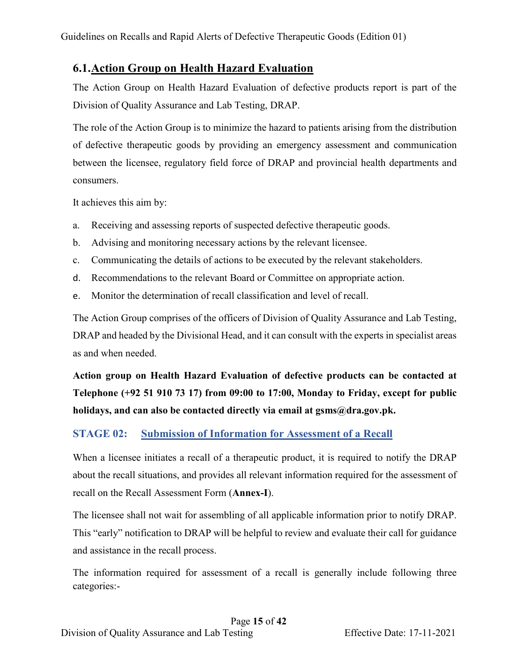## <span id="page-14-0"></span>**6.1.Action Group on Health Hazard Evaluation**

The Action Group on Health Hazard Evaluation of defective products report is part of the Division of Quality Assurance and Lab Testing, DRAP.

The role of the Action Group is to minimize the hazard to patients arising from the distribution of defective therapeutic goods by providing an emergency assessment and communication between the licensee, regulatory field force of DRAP and provincial health departments and consumers.

It achieves this aim by:

- a. Receiving and assessing reports of suspected defective therapeutic goods.
- b. Advising and monitoring necessary actions by the relevant licensee.
- c. Communicating the details of actions to be executed by the relevant stakeholders.
- d. Recommendations to the relevant Board or Committee on appropriate action.
- e. Monitor the determination of recall classification and level of recall.

The Action Group comprises of the officers of Division of Quality Assurance and Lab Testing, DRAP and headed by the Divisional Head, and it can consult with the experts in specialist areas as and when needed.

**Action group on Health Hazard Evaluation of defective products can be contacted at Telephone (+92 51 910 73 17) from 09:00 to 17:00, Monday to Friday, except for public holidays, and can also be contacted directly via email at gsms@dra.gov.pk.**

## **STAGE 02: Submission of Information for Assessment of a Recall**

When a licensee initiates a recall of a therapeutic product, it is required to notify the DRAP about the recall situations, and provides all relevant information required for the assessment of recall on the Recall Assessment Form (**Annex-I**).

The licensee shall not wait for assembling of all applicable information prior to notify DRAP. This "early" notification to DRAP will be helpful to review and evaluate their call for guidance and assistance in the recall process.

The information required for assessment of a recall is generally include following three categories:-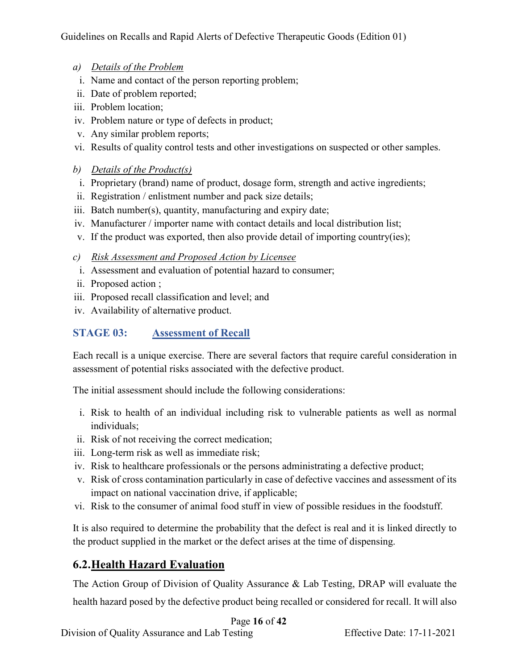- *a) Details of the Problem*
- i. Name and contact of the person reporting problem;
- ii. Date of problem reported;
- iii. Problem location;
- iv. Problem nature or type of defects in product;
- v. Any similar problem reports;
- vi. Results of quality control tests and other investigations on suspected or other samples.
- *b) Details of the Product(s)*
- i. Proprietary (brand) name of product, dosage form, strength and active ingredients;
- ii. Registration / enlistment number and pack size details;
- iii. Batch number(s), quantity, manufacturing and expiry date;
- iv. Manufacturer / importer name with contact details and local distribution list;
- v. If the product was exported, then also provide detail of importing country(ies);
- *c) Risk Assessment and Proposed Action by Licensee*
- i. Assessment and evaluation of potential hazard to consumer;
- ii. Proposed action ;
- iii. Proposed recall classification and level; and
- iv. Availability of alternative product.

## **STAGE 03: Assessment of Recall**

Each recall is a unique exercise. There are several factors that require careful consideration in assessment of potential risks associated with the defective product.

The initial assessment should include the following considerations:

- i. Risk to health of an individual including risk to vulnerable patients as well as normal individuals;
- ii. Risk of not receiving the correct medication;
- iii. Long-term risk as well as immediate risk;
- iv. Risk to healthcare professionals or the persons administrating a defective product;
- v. Risk of cross contamination particularly in case of defective vaccines and assessment of its impact on national vaccination drive, if applicable;
- vi. Risk to the consumer of animal food stuff in view of possible residues in the foodstuff.

It is also required to determine the probability that the defect is real and it is linked directly to the product supplied in the market or the defect arises at the time of dispensing.

## <span id="page-15-0"></span>**6.2.Health Hazard Evaluation**

The Action Group of Division of Quality Assurance & Lab Testing, DRAP will evaluate the health hazard posed by the defective product being recalled or considered for recall. It will also

Page **16** of **42**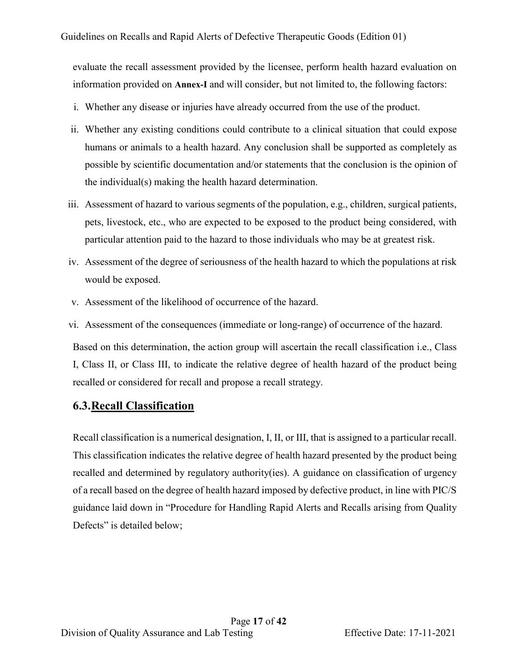evaluate the recall assessment provided by the licensee, perform health hazard evaluation on information provided on **Annex-I** and will consider, but not limited to, the following factors:

- i. Whether any disease or injuries have already occurred from the use of the product.
- ii. Whether any existing conditions could contribute to a clinical situation that could expose humans or animals to a health hazard. Any conclusion shall be supported as completely as possible by scientific documentation and/or statements that the conclusion is the opinion of the individual(s) making the health hazard determination.
- iii. Assessment of hazard to various segments of the population, e.g., children, surgical patients, pets, livestock, etc., who are expected to be exposed to the product being considered, with particular attention paid to the hazard to those individuals who may be at greatest risk.
- iv. Assessment of the degree of seriousness of the health hazard to which the populations at risk would be exposed.
- v. Assessment of the likelihood of occurrence of the hazard.
- vi. Assessment of the consequences (immediate or long-range) of occurrence of the hazard.

Based on this determination, the action group will ascertain the recall classification i.e., Class I, Class II, or Class III, to indicate the relative degree of health hazard of the product being recalled or considered for recall and propose a recall strategy.

### <span id="page-16-0"></span>**6.3.Recall Classification**

Recall classification is a numerical designation, I, II, or III, that is assigned to a particular recall. This classification indicates the relative degree of health hazard presented by the product being recalled and determined by regulatory authority(ies). A guidance on classification of urgency of a recall based on the degree of health hazard imposed by defective product, in line with PIC/S guidance laid down in "Procedure for Handling Rapid Alerts and Recalls arising from Quality Defects" is detailed below;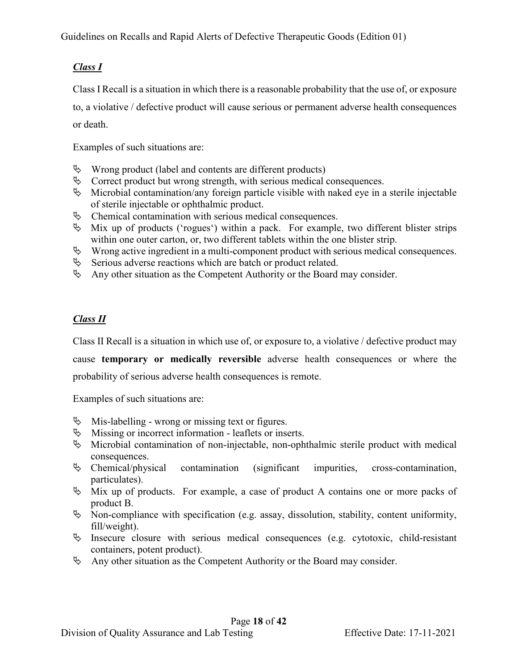## *Class I*

Class I Recall is a situation in which there is a reasonable probability that the use of, or exposure

to, a violative / defective product will cause serious or permanent adverse health consequences or death.

Examples of such situations are:

- $\&$  Wrong product (label and contents are different products)
- $\&$  Correct product but wrong strength, with serious medical consequences.
- $\%$  Microbial contamination/any foreign particle visible with naked eye in a sterile injectable of sterile injectable or ophthalmic product.
- $\&$  Chemical contamination with serious medical consequences.
- $\&$  Mix up of products ('rogues') within a pack. For example, two different blister strips within one outer carton, or, two different tablets within the one blister strip.
- $\%$  Wrong active ingredient in a multi-component product with serious medical consequences.
- $\&$  Serious adverse reactions which are batch or product related.
- $\&$  Any other situation as the Competent Authority or the Board may consider.

### *Class II*

Class II Recall is a situation in which use of, or exposure to, a violative / defective product may

cause **temporary or medically reversible** adverse health consequences or where the probability of serious adverse health consequences is remote.

Examples of such situations are:

- $\&$  Mis-labelling wrong or missing text or figures.
- $\&$  Missing or incorrect information leaflets or inserts.
- $\%$  Microbial contamination of non-injectable, non-ophthalmic sterile product with medical consequences.
- $\&$  Chemical/physical contamination (significant impurities, cross-contamination, particulates).
- $\%$  Mix up of products. For example, a case of product A contains one or more packs of product B.
- $\%$  Non-compliance with specification (e.g. assay, dissolution, stability, content uniformity, fill/weight).
- $\uparrow$  Insecure closure with serious medical consequences (e.g. cytotoxic, child-resistant containers, potent product).
- $\&$  Any other situation as the Competent Authority or the Board may consider.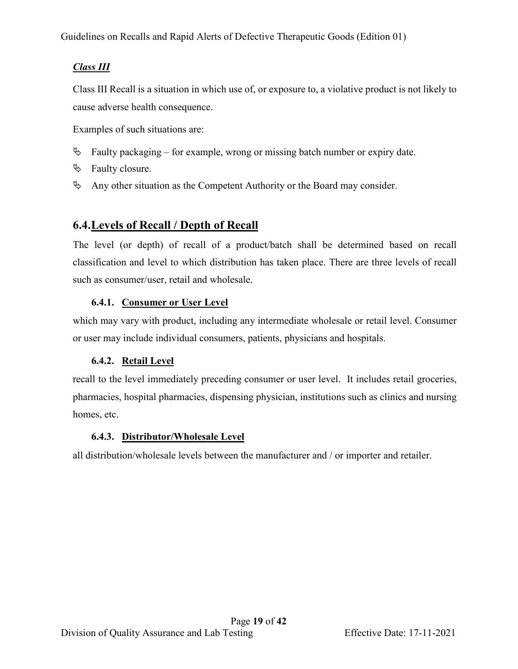## *Class III*

Class III Recall is a situation in which use of, or exposure to, a violative product is not likely to cause adverse health consequence.

Examples of such situations are:

- $\&$  Faulty packaging for example, wrong or missing batch number or expiry date.
- $\%$  Faulty closure.
- $\&$  Any other situation as the Competent Authority or the Board may consider.

## <span id="page-18-0"></span>**6.4.Levels of Recall / Depth of Recall**

The level (or depth) of recall of a product/batch shall be determined based on recall classification and level to which distribution has taken place. There are three levels of recall such as consumer/user, retail and wholesale.

## **6.4.1. Consumer or User Level**

which may vary with product, including any intermediate wholesale or retail level. Consumer or user may include individual consumers, patients, physicians and hospitals.

### **6.4.2. Retail Level**

recall to the level immediately preceding consumer or user level. It includes retail groceries, pharmacies, hospital pharmacies, dispensing physician, institutions such as clinics and nursing homes, etc.

### **6.4.3. Distributor/Wholesale Level**

all distribution/wholesale levels between the manufacturer and / or importer and retailer.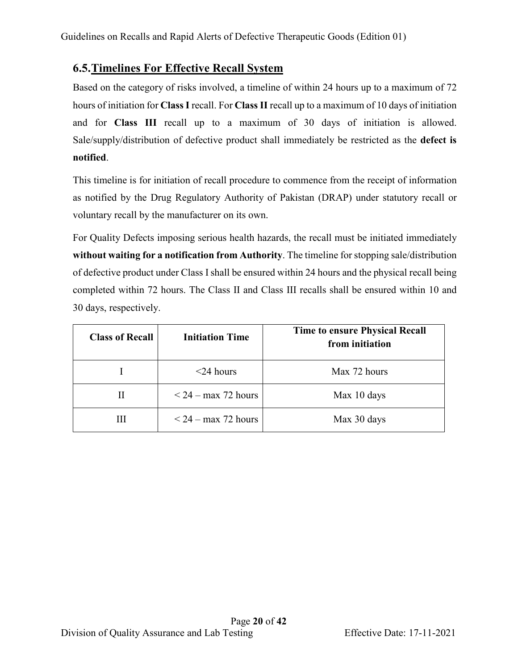## <span id="page-19-0"></span>**6.5.Timelines For Effective Recall System**

Based on the category of risks involved, a timeline of within 24 hours up to a maximum of 72 hours of initiation for **Class I** recall. For **Class II** recall up to a maximum of 10 days of initiation and for **Class III** recall up to a maximum of 30 days of initiation is allowed. Sale/supply/distribution of defective product shall immediately be restricted as the **defect is notified**.

This timeline is for initiation of recall procedure to commence from the receipt of information as notified by the Drug Regulatory Authority of Pakistan (DRAP) under statutory recall or voluntary recall by the manufacturer on its own.

For Quality Defects imposing serious health hazards, the recall must be initiated immediately **without waiting for a notification from Authority**. The timeline for stopping sale/distribution of defective product under Class I shall be ensured within 24 hours and the physical recall being completed within 72 hours. The Class II and Class III recalls shall be ensured within 10 and 30 days, respectively.

| <b>Class of Recall</b> | <b>Initiation Time</b>   | <b>Time to ensure Physical Recall</b><br>from initiation |  |
|------------------------|--------------------------|----------------------------------------------------------|--|
|                        | $<$ 24 hours             | Max 72 hours                                             |  |
|                        | $<$ 24 – max 72 hours    | Max 10 days                                              |  |
|                        | $\leq$ 24 – max 72 hours | Max 30 days                                              |  |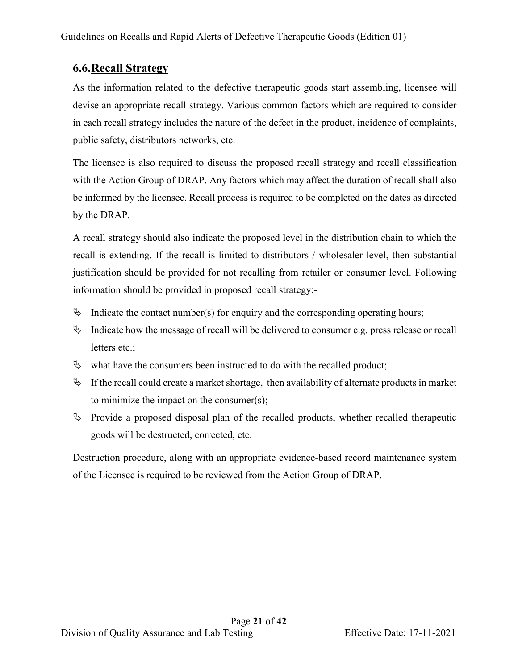## <span id="page-20-0"></span>**6.6.Recall Strategy**

As the information related to the defective therapeutic goods start assembling, licensee will devise an appropriate recall strategy. Various common factors which are required to consider in each recall strategy includes the nature of the defect in the product, incidence of complaints, public safety, distributors networks, etc.

The licensee is also required to discuss the proposed recall strategy and recall classification with the Action Group of DRAP. Any factors which may affect the duration of recall shall also be informed by the licensee. Recall process is required to be completed on the dates as directed by the DRAP.

A recall strategy should also indicate the proposed level in the distribution chain to which the recall is extending. If the recall is limited to distributors / wholesaler level, then substantial justification should be provided for not recalling from retailer or consumer level. Following information should be provided in proposed recall strategy:-

- $\&$  Indicate the contact number(s) for enquiry and the corresponding operating hours;
- $\%$  Indicate how the message of recall will be delivered to consumer e.g. press release or recall letters etc.;
- $\%$  what have the consumers been instructed to do with the recalled product;
- $\mathfrak{B}$  If the recall could create a market shortage, then availability of alternate products in market to minimize the impact on the consumer(s);
- $\%$  Provide a proposed disposal plan of the recalled products, whether recalled therapeutic goods will be destructed, corrected, etc.

Destruction procedure, along with an appropriate evidence-based record maintenance system of the Licensee is required to be reviewed from the Action Group of DRAP.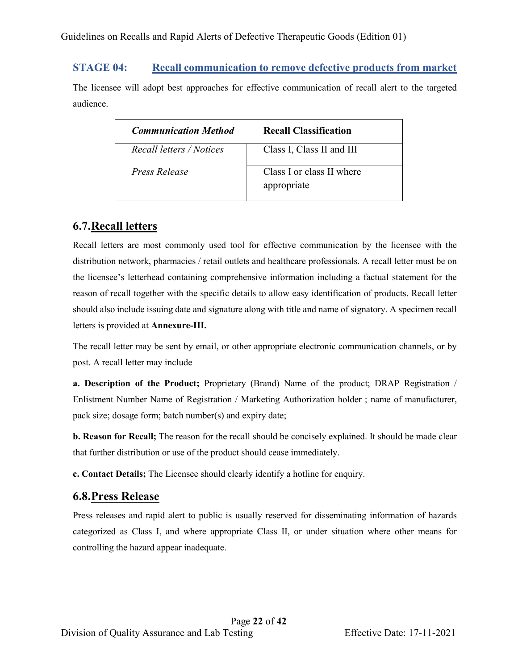#### **STAGE 04: Recall communication to remove defective products from market**

The licensee will adopt best approaches for effective communication of recall alert to the targeted audience.

| <b>Communication Method</b> | <b>Recall Classification</b>             |
|-----------------------------|------------------------------------------|
| Recall letters / Notices    | Class I, Class II and III                |
| Press Release               | Class I or class II where<br>appropriate |

## <span id="page-21-0"></span>**6.7.Recall letters**

Recall letters are most commonly used tool for effective communication by the licensee with the distribution network, pharmacies / retail outlets and healthcare professionals. A recall letter must be on the licensee's letterhead containing comprehensive information including a factual statement for the reason of recall together with the specific details to allow easy identification of products. Recall letter should also include issuing date and signature along with title and name of signatory. A specimen recall letters is provided at **Annexure-III.**

The recall letter may be sent by email, or other appropriate electronic communication channels, or by post. A recall letter may include

**a. Description of the Product;** Proprietary (Brand) Name of the product; DRAP Registration / Enlistment Number Name of Registration / Marketing Authorization holder ; name of manufacturer, pack size; dosage form; batch number(s) and expiry date;

**b. Reason for Recall;** The reason for the recall should be concisely explained. It should be made clear that further distribution or use of the product should cease immediately.

**c. Contact Details;** The Licensee should clearly identify a hotline for enquiry.

### <span id="page-21-1"></span>**6.8.Press Release**

Press releases and rapid alert to public is usually reserved for disseminating information of hazards categorized as Class I, and where appropriate Class II, or under situation where other means for controlling the hazard appear inadequate.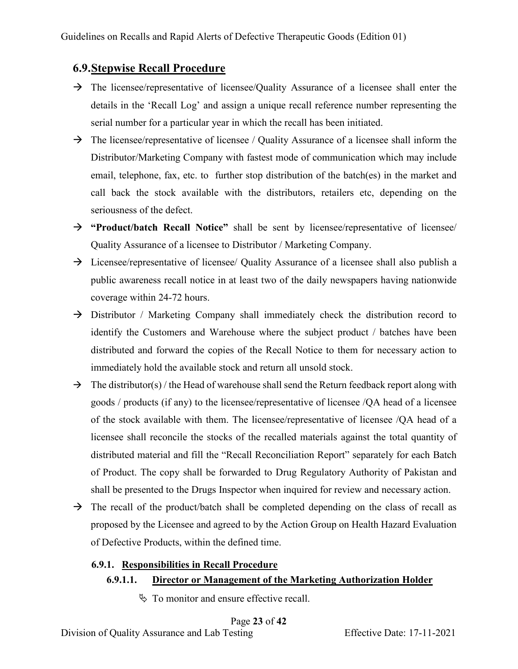### <span id="page-22-0"></span>**6.9.Stepwise Recall Procedure**

- $\rightarrow$  The licensee/representative of licensee/Quality Assurance of a licensee shall enter the details in the 'Recall Log' and assign a unique recall reference number representing the serial number for a particular year in which the recall has been initiated.
- $\rightarrow$  The licensee/representative of licensee / Quality Assurance of a licensee shall inform the Distributor/Marketing Company with fastest mode of communication which may include email, telephone, fax, etc. to further stop distribution of the batch(es) in the market and call back the stock available with the distributors, retailers etc, depending on the seriousness of the defect.
- **"Product/batch Recall Notice"** shall be sent by licensee/representative of licensee/ Quality Assurance of a licensee to Distributor / Marketing Company.
- $\rightarrow$  Licensee/representative of licensee/ Quality Assurance of a licensee shall also publish a public awareness recall notice in at least two of the daily newspapers having nationwide coverage within 24-72 hours.
- $\rightarrow$  Distributor / Marketing Company shall immediately check the distribution record to identify the Customers and Warehouse where the subject product / batches have been distributed and forward the copies of the Recall Notice to them for necessary action to immediately hold the available stock and return all unsold stock.
- $\rightarrow$  The distributor(s) / the Head of warehouse shall send the Return feedback report along with goods / products (if any) to the licensee/representative of licensee /QA head of a licensee of the stock available with them. The licensee/representative of licensee /QA head of a licensee shall reconcile the stocks of the recalled materials against the total quantity of distributed material and fill the "Recall Reconciliation Report" separately for each Batch of Product. The copy shall be forwarded to Drug Regulatory Authority of Pakistan and shall be presented to the Drugs Inspector when inquired for review and necessary action.
- $\rightarrow$  The recall of the product/batch shall be completed depending on the class of recall as proposed by the Licensee and agreed to by the Action Group on Health Hazard Evaluation of Defective Products, within the defined time.

#### **6.9.1. Responsibilities in Recall Procedure**

#### **6.9.1.1. Director or Management of the Marketing Authorization Holder**

 $\lozenge$  To monitor and ensure effective recall.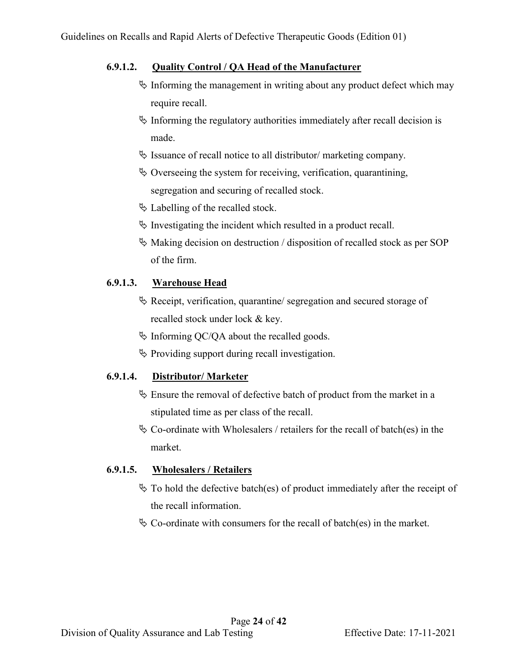#### **6.9.1.2. Quality Control / QA Head of the Manufacturer**

- $\frac{1}{2}$  Informing the management in writing about any product defect which may require recall.
- $\%$  Informing the regulatory authorities immediately after recall decision is made.
- $\&$  Issuance of recall notice to all distributor/ marketing company.
- $\&$  Overseeing the system for receiving, verification, quarantining, segregation and securing of recalled stock.
- $\&$  Labelling of the recalled stock.
- $\ddot{\varphi}$  Investigating the incident which resulted in a product recall.
- $\&$  Making decision on destruction / disposition of recalled stock as per SOP of the firm.

#### **6.9.1.3. Warehouse Head**

- $\&$  Receipt, verification, quarantine/ segregation and secured storage of recalled stock under lock & key.
- $\&$  Informing QC/QA about the recalled goods.
- $\lozenge$  Providing support during recall investigation.

#### **6.9.1.4. Distributor/ Marketer**

- $\&$  Ensure the removal of defective batch of product from the market in a stipulated time as per class of the recall.
- $\&$  Co-ordinate with Wholesalers / retailers for the recall of batch(es) in the market.

#### **6.9.1.5. Wholesalers / Retailers**

- $\&$  To hold the defective batch(es) of product immediately after the receipt of the recall information.
- $\&$  Co-ordinate with consumers for the recall of batch(es) in the market.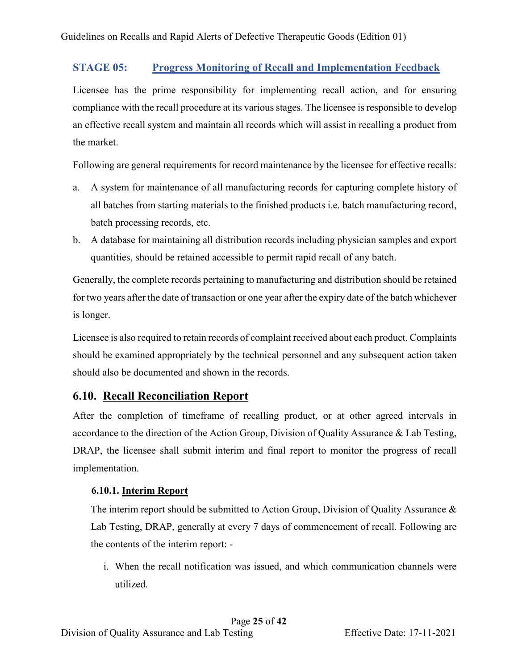### **STAGE 05: Progress Monitoring of Recall and Implementation Feedback**

Licensee has the prime responsibility for implementing recall action, and for ensuring compliance with the recall procedure at its various stages. The licensee is responsible to develop an effective recall system and maintain all records which will assist in recalling a product from the market.

Following are general requirements for record maintenance by the licensee for effective recalls:

- a. A system for maintenance of all manufacturing records for capturing complete history of all batches from starting materials to the finished products i.e. batch manufacturing record, batch processing records, etc.
- b. A database for maintaining all distribution records including physician samples and export quantities, should be retained accessible to permit rapid recall of any batch.

Generally, the complete records pertaining to manufacturing and distribution should be retained for two years after the date of transaction or one year after the expiry date of the batch whichever is longer.

Licensee is also required to retain records of complaint received about each product. Complaints should be examined appropriately by the technical personnel and any subsequent action taken should also be documented and shown in the records.

## <span id="page-24-0"></span>**6.10. Recall Reconciliation Report**

After the completion of timeframe of recalling product, or at other agreed intervals in accordance to the direction of the Action Group, Division of Quality Assurance & Lab Testing, DRAP, the licensee shall submit interim and final report to monitor the progress of recall implementation.

### **6.10.1. Interim Report**

The interim report should be submitted to Action Group, Division of Quality Assurance & Lab Testing, DRAP, generally at every 7 days of commencement of recall. Following are the contents of the interim report: -

i. When the recall notification was issued, and which communication channels were utilized.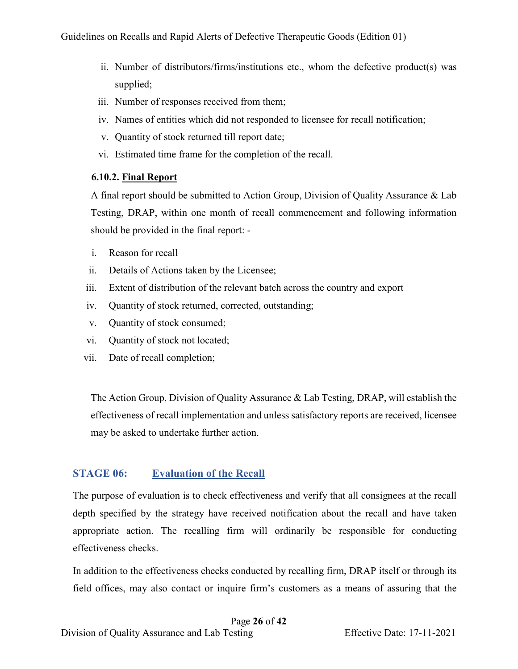- ii. Number of distributors/firms/institutions etc., whom the defective product(s) was supplied;
- iii. Number of responses received from them;
- iv. Names of entities which did not responded to licensee for recall notification;
- v. Quantity of stock returned till report date;
- vi. Estimated time frame for the completion of the recall.

#### **6.10.2. Final Report**

A final report should be submitted to Action Group, Division of Quality Assurance & Lab Testing, DRAP, within one month of recall commencement and following information should be provided in the final report: -

- i. Reason for recall
- ii. Details of Actions taken by the Licensee;
- iii. Extent of distribution of the relevant batch across the country and export
- iv. Quantity of stock returned, corrected, outstanding;
- v. Quantity of stock consumed;
- vi. Quantity of stock not located;
- vii. Date of recall completion;

The Action Group, Division of Quality Assurance & Lab Testing, DRAP, will establish the effectiveness of recall implementation and unless satisfactory reports are received, licensee may be asked to undertake further action.

#### **STAGE 06:** Evaluation of the Recall

The purpose of evaluation is to check effectiveness and verify that all consignees at the recall depth specified by the strategy have received notification about the recall and have taken appropriate action. The recalling firm will ordinarily be responsible for conducting effectiveness checks.

In addition to the effectiveness checks conducted by recalling firm, DRAP itself or through its field offices, may also contact or inquire firm's customers as a means of assuring that the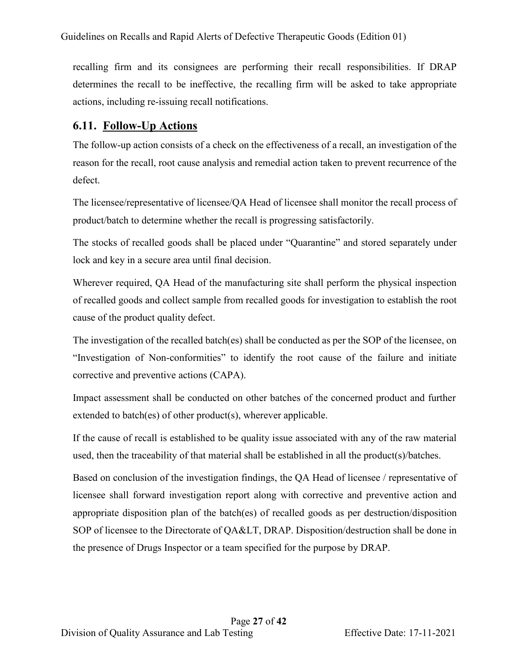recalling firm and its consignees are performing their recall responsibilities. If DRAP determines the recall to be ineffective, the recalling firm will be asked to take appropriate actions, including re-issuing recall notifications.

### <span id="page-26-0"></span>**6.11. Follow-Up Actions**

The follow-up action consists of a check on the effectiveness of a recall, an investigation of the reason for the recall, root cause analysis and remedial action taken to prevent recurrence of the defect.

The licensee/representative of licensee/QA Head of licensee shall monitor the recall process of product/batch to determine whether the recall is progressing satisfactorily.

The stocks of recalled goods shall be placed under "Quarantine" and stored separately under lock and key in a secure area until final decision.

Wherever required, QA Head of the manufacturing site shall perform the physical inspection of recalled goods and collect sample from recalled goods for investigation to establish the root cause of the product quality defect.

The investigation of the recalled batch(es) shall be conducted as per the SOP of the licensee, on "Investigation of Non-conformities" to identify the root cause of the failure and initiate corrective and preventive actions (CAPA).

Impact assessment shall be conducted on other batches of the concerned product and further extended to batch(es) of other product(s), wherever applicable.

If the cause of recall is established to be quality issue associated with any of the raw material used, then the traceability of that material shall be established in all the product(s)/batches.

Based on conclusion of the investigation findings, the QA Head of licensee / representative of licensee shall forward investigation report along with corrective and preventive action and appropriate disposition plan of the batch(es) of recalled goods as per destruction/disposition SOP of licensee to the Directorate of QA&LT, DRAP. Disposition/destruction shall be done in the presence of Drugs Inspector or a team specified for the purpose by DRAP.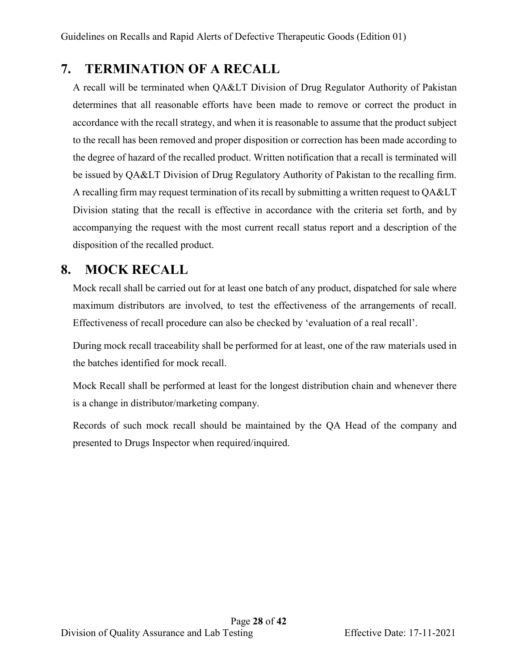## <span id="page-27-0"></span>**7. TERMINATION OF A RECALL**

A recall will be terminated when QA&LT Division of Drug Regulator Authority of Pakistan determines that all reasonable efforts have been made to remove or correct the product in accordance with the recall strategy, and when it is reasonable to assume that the product subject to the recall has been removed and proper disposition or correction has been made according to the degree of hazard of the recalled product. Written notification that a recall is terminated will be issued by QA&LT Division of Drug Regulatory Authority of Pakistan to the recalling firm. A recalling firm may request termination of its recall by submitting a written request to QA&LT Division stating that the recall is effective in accordance with the criteria set forth, and by accompanying the request with the most current recall status report and a description of the disposition of the recalled product.

## <span id="page-27-1"></span>**8. MOCK RECALL**

Mock recall shall be carried out for at least one batch of any product, dispatched for sale where maximum distributors are involved, to test the effectiveness of the arrangements of recall. Effectiveness of recall procedure can also be checked by 'evaluation of a real recall'.

During mock recall traceability shall be performed for at least, one of the raw materials used in the batches identified for mock recall.

Mock Recall shall be performed at least for the longest distribution chain and whenever there is a change in distributor/marketing company.

Records of such mock recall should be maintained by the QA Head of the company and presented to Drugs Inspector when required/inquired.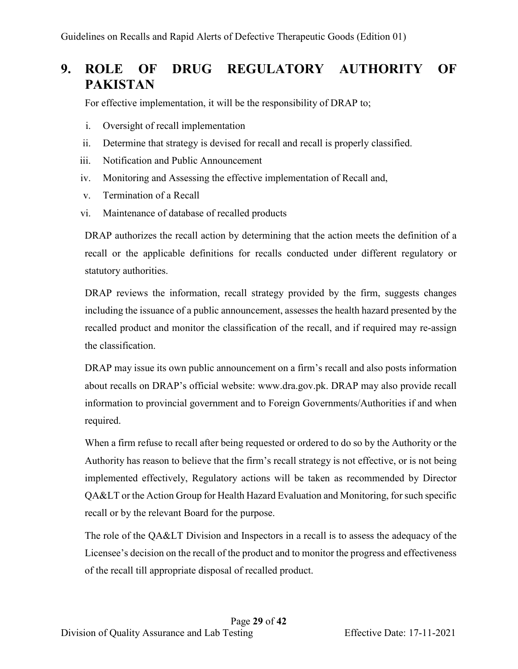# <span id="page-28-0"></span>**9. ROLE OF DRUG REGULATORY AUTHORITY OF PAKISTAN**

For effective implementation, it will be the responsibility of DRAP to;

- i. Oversight of recall implementation
- ii. Determine that strategy is devised for recall and recall is properly classified.
- iii. Notification and Public Announcement
- iv. Monitoring and Assessing the effective implementation of Recall and,
- v. Termination of a Recall
- vi. Maintenance of database of recalled products

DRAP authorizes the recall action by determining that the action meets the definition of a recall or the applicable definitions for recalls conducted under different regulatory or statutory authorities.

DRAP reviews the information, recall strategy provided by the firm, suggests changes including the issuance of a public announcement, assesses the health hazard presented by the recalled product and monitor the classification of the recall, and if required may re-assign the classification.

DRAP may issue its own public announcement on a firm's recall and also posts information about recalls on DRAP's official website: www.dra.gov.pk. DRAP may also provide recall information to provincial government and to Foreign Governments/Authorities if and when required.

When a firm refuse to recall after being requested or ordered to do so by the Authority or the Authority has reason to believe that the firm's recall strategy is not effective, or is not being implemented effectively, Regulatory actions will be taken as recommended by Director QA&LT or the Action Group for Health Hazard Evaluation and Monitoring, for such specific recall or by the relevant Board for the purpose.

The role of the QA&LT Division and Inspectors in a recall is to assess the adequacy of the Licensee's decision on the recall of the product and to monitor the progress and effectiveness of the recall till appropriate disposal of recalled product.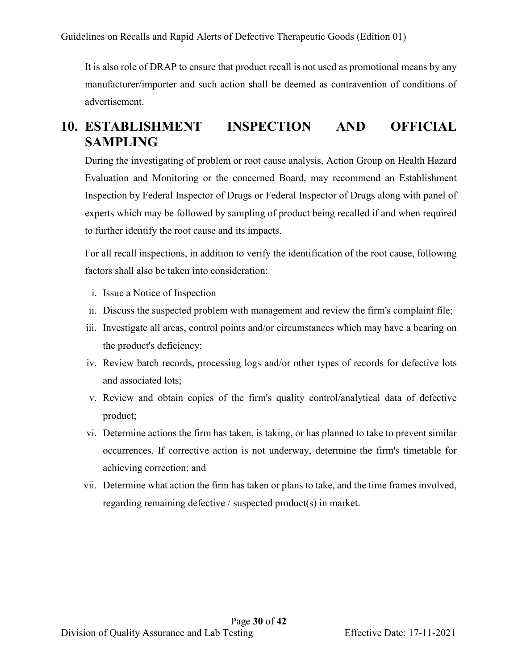It is also role of DRAP to ensure that product recall is not used as promotional means by any manufacturer/importer and such action shall be deemed as contravention of conditions of advertisement.

## <span id="page-29-0"></span>**10. ESTABLISHMENT INSPECTION AND OFFICIAL SAMPLING**

During the investigating of problem or root cause analysis, Action Group on Health Hazard Evaluation and Monitoring or the concerned Board, may recommend an Establishment Inspection by Federal Inspector of Drugs or Federal Inspector of Drugs along with panel of experts which may be followed by sampling of product being recalled if and when required to further identify the root cause and its impacts.

For all recall inspections, in addition to verify the identification of the root cause, following factors shall also be taken into consideration:

- i. Issue a Notice of Inspection
- ii. Discuss the suspected problem with management and review the firm's complaint file;
- iii. Investigate all areas, control points and/or circumstances which may have a bearing on the product's deficiency;
- iv. Review batch records, processing logs and/or other types of records for defective lots and associated lots;
- v. Review and obtain copies of the firm's quality control/analytical data of defective product;
- vi. Determine actions the firm has taken, is taking, or has planned to take to prevent similar occurrences. If corrective action is not underway, determine the firm's timetable for achieving correction; and
- vii. Determine what action the firm has taken or plans to take, and the time frames involved, regarding remaining defective / suspected product(s) in market.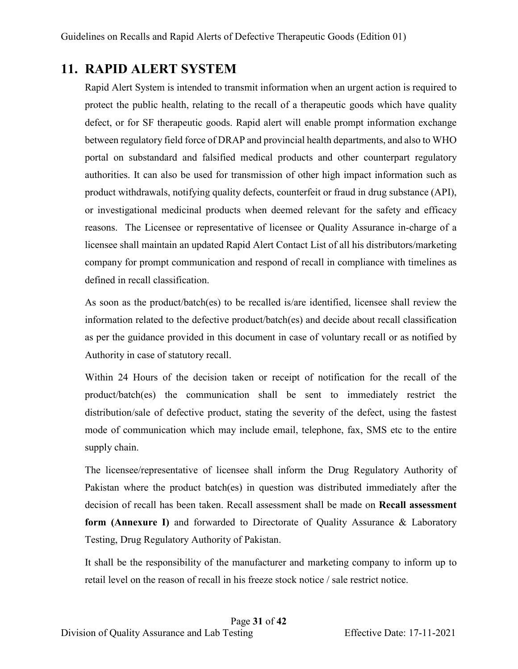# <span id="page-30-0"></span>**11. RAPID ALERT SYSTEM**

Rapid Alert System is intended to transmit information when an urgent action is required to protect the public health, relating to the recall of a therapeutic goods which have quality defect, or for SF therapeutic goods. Rapid alert will enable prompt information exchange between regulatory field force of DRAP and provincial health departments, and also to WHO portal on substandard and falsified medical products and other counterpart regulatory authorities. It can also be used for transmission of other high impact information such as product withdrawals, notifying quality defects, counterfeit or fraud in drug substance (API), or investigational medicinal products when deemed relevant for the safety and efficacy reasons. The Licensee or representative of licensee or Quality Assurance in-charge of a licensee shall maintain an updated Rapid Alert Contact List of all his distributors/marketing company for prompt communication and respond of recall in compliance with timelines as defined in recall classification.

As soon as the product/batch(es) to be recalled is/are identified, licensee shall review the information related to the defective product/batch(es) and decide about recall classification as per the guidance provided in this document in case of voluntary recall or as notified by Authority in case of statutory recall.

Within 24 Hours of the decision taken or receipt of notification for the recall of the product/batch(es) the communication shall be sent to immediately restrict the distribution/sale of defective product, stating the severity of the defect, using the fastest mode of communication which may include email, telephone, fax, SMS etc to the entire supply chain.

The licensee/representative of licensee shall inform the Drug Regulatory Authority of Pakistan where the product batch(es) in question was distributed immediately after the decision of recall has been taken. Recall assessment shall be made on **Recall assessment form (Annexure I)** and forwarded to Directorate of Quality Assurance & Laboratory Testing, Drug Regulatory Authority of Pakistan.

It shall be the responsibility of the manufacturer and marketing company to inform up to retail level on the reason of recall in his freeze stock notice / sale restrict notice.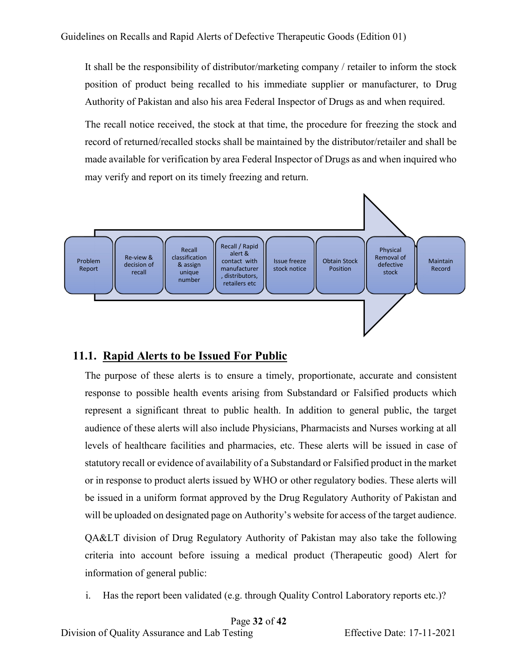It shall be the responsibility of distributor/marketing company / retailer to inform the stock position of product being recalled to his immediate supplier or manufacturer, to Drug Authority of Pakistan and also his area Federal Inspector of Drugs as and when required.

The recall notice received, the stock at that time, the procedure for freezing the stock and record of returned/recalled stocks shall be maintained by the distributor/retailer and shall be made available for verification by area Federal Inspector of Drugs as and when inquired who may verify and report on its timely freezing and return.



### <span id="page-31-0"></span>**11.1. Rapid Alerts to be Issued For Public**

The purpose of these alerts is to ensure a timely, proportionate, accurate and consistent response to possible health events arising from Substandard or Falsified products which represent a significant threat to public health. In addition to general public, the target audience of these alerts will also include Physicians, Pharmacists and Nurses working at all levels of healthcare facilities and pharmacies, etc. These alerts will be issued in case of statutory recall or evidence of availability of a Substandard or Falsified product in the market or in response to product alerts issued by WHO or other regulatory bodies. These alerts will be issued in a uniform format approved by the Drug Regulatory Authority of Pakistan and will be uploaded on designated page on Authority's website for access of the target audience.

QA&LT division of Drug Regulatory Authority of Pakistan may also take the following criteria into account before issuing a medical product (Therapeutic good) Alert for information of general public:

i. Has the report been validated (e.g. through Quality Control Laboratory reports etc.)?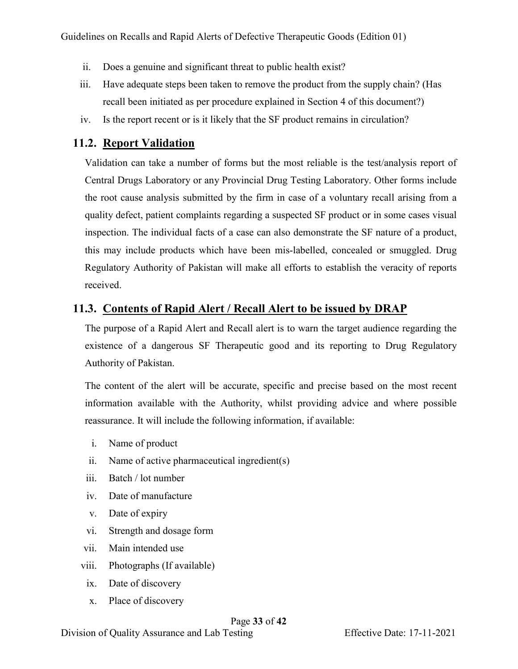- ii. Does a genuine and significant threat to public health exist?
- iii. Have adequate steps been taken to remove the product from the supply chain? (Has recall been initiated as per procedure explained in Section 4 of this document?)
- iv. Is the report recent or is it likely that the SF product remains in circulation?

## <span id="page-32-0"></span>**11.2. Report Validation**

Validation can take a number of forms but the most reliable is the test/analysis report of Central Drugs Laboratory or any Provincial Drug Testing Laboratory. Other forms include the root cause analysis submitted by the firm in case of a voluntary recall arising from a quality defect, patient complaints regarding a suspected SF product or in some cases visual inspection. The individual facts of a case can also demonstrate the SF nature of a product, this may include products which have been mis-labelled, concealed or smuggled. Drug Regulatory Authority of Pakistan will make all efforts to establish the veracity of reports received.

## <span id="page-32-1"></span>**11.3. Contents of Rapid Alert / Recall Alert to be issued by DRAP**

The purpose of a Rapid Alert and Recall alert is to warn the target audience regarding the existence of a dangerous SF Therapeutic good and its reporting to Drug Regulatory Authority of Pakistan.

The content of the alert will be accurate, specific and precise based on the most recent information available with the Authority, whilst providing advice and where possible reassurance. It will include the following information, if available:

- i. Name of product
- ii. Name of active pharmaceutical ingredient(s)
- iii. Batch / lot number
- iv. Date of manufacture
- v. Date of expiry
- vi. Strength and dosage form
- vii. Main intended use
- viii. Photographs (If available)
- ix. Date of discovery
- x. Place of discovery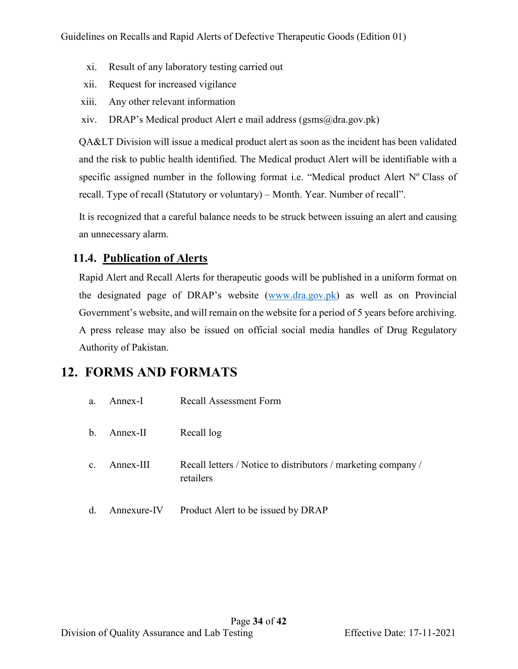- xi. Result of any laboratory testing carried out
- xii. Request for increased vigilance
- xiii. Any other relevant information
- xiv. DRAP's Medical product Alert e mail address (gsms@dra.gov.pk)

QA&LT Division will issue a medical product alert as soon as the incident has been validated and the risk to public health identified. The Medical product Alert will be identifiable with a specific assigned number in the following format i.e. "Medical product Alert  $N<sup>o</sup>$  Class of recall. Type of recall (Statutory or voluntary) – Month. Year. Number of recall".

It is recognized that a careful balance needs to be struck between issuing an alert and causing an unnecessary alarm.

## <span id="page-33-0"></span>**11.4. Publication of Alerts**

Rapid Alert and Recall Alerts for therapeutic goods will be published in a uniform format on the designated page of DRAP's website [\(www.dra.gov.pk\)](http://www.dra.gov.pk/) as well as on Provincial Government's website, and will remain on the website for a period of 5 years before archiving. A press release may also be issued on official social media handles of Drug Regulatory Authority of Pakistan.

## <span id="page-33-1"></span>**12. FORMS AND FORMATS**

| a.             | Annex-I     | <b>Recall Assessment Form</b>                                              |
|----------------|-------------|----------------------------------------------------------------------------|
| $\mathbf{b}$ . | Annex-II    | Recall log                                                                 |
| $\mathbf{c}$ . | Annex-III   | Recall letters / Notice to distributors / marketing company /<br>retailers |
| d.             | Annexure-IV | Product Alert to be issued by DRAP                                         |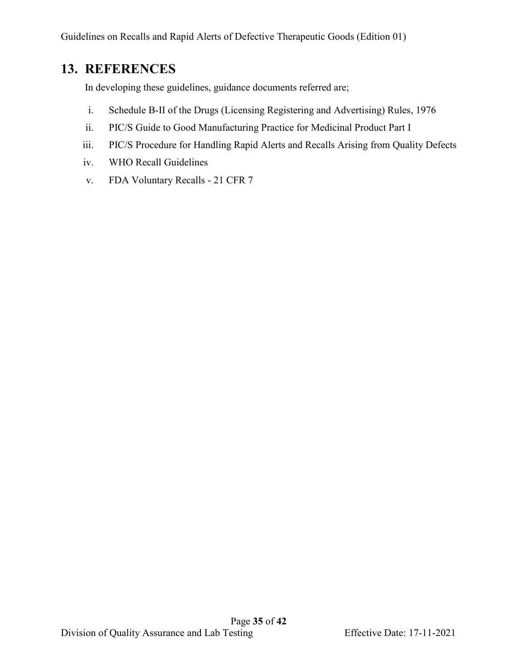## <span id="page-34-0"></span>**13. REFERENCES**

In developing these guidelines, guidance documents referred are;

- i. Schedule B-II of the Drugs (Licensing Registering and Advertising) Rules, 1976
- ii. PIC/S Guide to Good Manufacturing Practice for Medicinal Product Part I
- iii. PIC/S Procedure for Handling Rapid Alerts and Recalls Arising from Quality Defects
- iv. WHO Recall Guidelines
- v. FDA Voluntary Recalls 21 CFR 7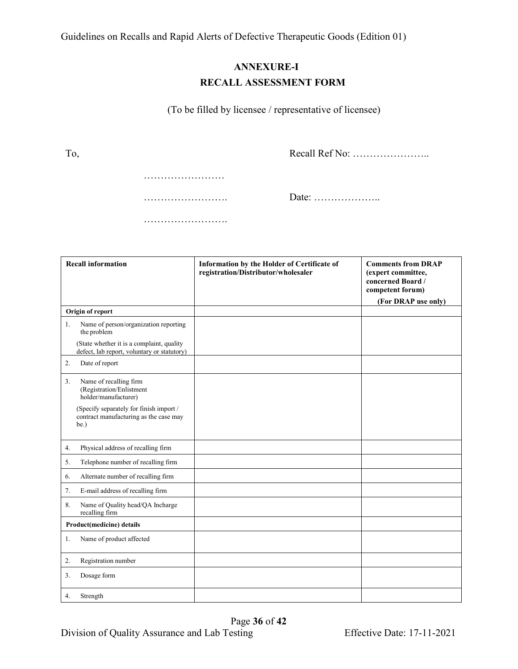### **ANNEXURE-I RECALL ASSESSMENT FORM**

(To be filled by licensee / representative of licensee)

To,

Recall Ref No: …………………..

………………………… ……………………… …………………….

Date: ………………..

| <b>Recall information</b>                                                                 | Information by the Holder of Certificate of<br>registration/Distributor/wholesaler | <b>Comments from DRAP</b><br>(expert committee,<br>concerned Board /<br>competent forum)<br>(For DRAP use only) |
|-------------------------------------------------------------------------------------------|------------------------------------------------------------------------------------|-----------------------------------------------------------------------------------------------------------------|
| Origin of report                                                                          |                                                                                    |                                                                                                                 |
| Name of person/organization reporting<br>1.<br>the problem                                |                                                                                    |                                                                                                                 |
| (State whether it is a complaint, quality<br>defect, lab report, voluntary or statutory)  |                                                                                    |                                                                                                                 |
| Date of report<br>2.                                                                      |                                                                                    |                                                                                                                 |
| Name of recalling firm<br>3.<br>(Registration/Enlistment<br>holder/manufacturer)          |                                                                                    |                                                                                                                 |
| (Specify separately for finish import /<br>contract manufacturing as the case may<br>be.) |                                                                                    |                                                                                                                 |
| Physical address of recalling firm<br>4.                                                  |                                                                                    |                                                                                                                 |
| Telephone number of recalling firm<br>5.                                                  |                                                                                    |                                                                                                                 |
| Alternate number of recalling firm<br>6.                                                  |                                                                                    |                                                                                                                 |
| E-mail address of recalling firm<br>7.                                                    |                                                                                    |                                                                                                                 |
| Name of Quality head/QA Incharge<br>8.<br>recalling firm                                  |                                                                                    |                                                                                                                 |
| Product(medicine) details                                                                 |                                                                                    |                                                                                                                 |
| Name of product affected<br>1.                                                            |                                                                                    |                                                                                                                 |
| Registration number<br>2.                                                                 |                                                                                    |                                                                                                                 |
| Dosage form<br>3.                                                                         |                                                                                    |                                                                                                                 |
| Strength<br>4.                                                                            |                                                                                    |                                                                                                                 |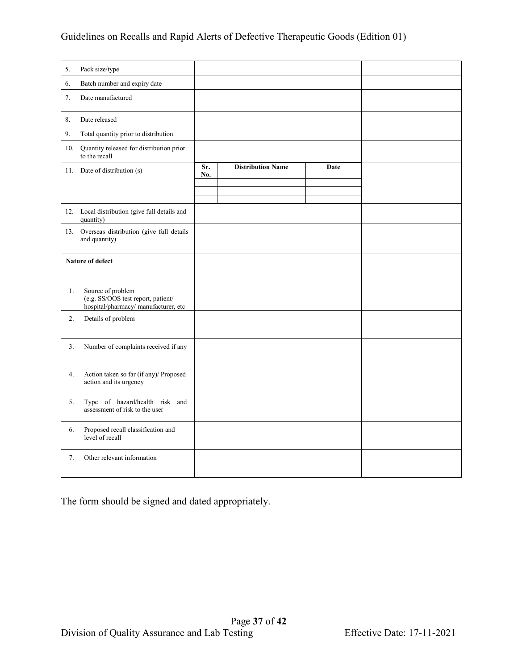| 5.                      | Pack size/type                                                                                 |            |                          |      |  |
|-------------------------|------------------------------------------------------------------------------------------------|------------|--------------------------|------|--|
| 6.                      | Batch number and expiry date                                                                   |            |                          |      |  |
| 7.                      | Date manufactured                                                                              |            |                          |      |  |
| 8.                      | Date released                                                                                  |            |                          |      |  |
| 9.                      | Total quantity prior to distribution                                                           |            |                          |      |  |
| 10.                     | Quantity released for distribution prior<br>to the recall                                      |            |                          |      |  |
|                         | 11. Date of distribution (s)                                                                   | Sr.<br>No. | <b>Distribution Name</b> | Date |  |
|                         |                                                                                                |            |                          |      |  |
|                         | 12. Local distribution (give full details and<br>quantity)                                     |            |                          |      |  |
|                         | 13. Overseas distribution (give full details<br>and quantity)                                  |            |                          |      |  |
| <b>Nature of defect</b> |                                                                                                |            |                          |      |  |
| 1.                      | Source of problem<br>(e.g. SS/OOS test report, patient/<br>hospital/pharmacy/manufacturer, etc |            |                          |      |  |
| 2.                      | Details of problem                                                                             |            |                          |      |  |
| 3.                      | Number of complaints received if any                                                           |            |                          |      |  |
| 4.                      | Action taken so far (if any)/ Proposed<br>action and its urgency                               |            |                          |      |  |
| 5.                      | Type of hazard/health risk and<br>assessment of risk to the user                               |            |                          |      |  |
| 6.                      | Proposed recall classification and<br>level of recall                                          |            |                          |      |  |
| 7.                      | Other relevant information                                                                     |            |                          |      |  |
|                         |                                                                                                |            |                          |      |  |

The form should be signed and dated appropriately.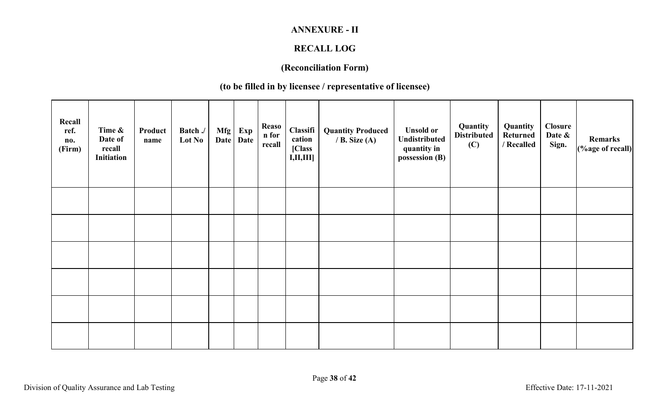## **ANNEXURE - II**

# **RECALL LOG**

# **(Reconciliation Form)**

# **(to be filled in by licensee / representative of licensee)**

| Recall<br>ref.<br>no.<br>(Firm) | Time &<br>Date of<br>recall<br>Initiation | Product<br>name | Batch./<br>Lot No | Mfg<br><b>Date</b> | Exp<br>Date | <b>Reaso</b><br>n for<br>recall | Classifi<br>cation<br>[Class<br>I, II, III | <b>Quantity Produced</b><br>/ B. Size $(A)$ | <b>Unsold or</b><br>Undistributed<br>quantity in<br>possession (B) | Quantity<br><b>Distributed</b><br>(C) | Quantity<br><b>Returned</b><br>/ Recalled | Closure<br>Date &<br>Sign. | Remarks<br>(%age of recall) |
|---------------------------------|-------------------------------------------|-----------------|-------------------|--------------------|-------------|---------------------------------|--------------------------------------------|---------------------------------------------|--------------------------------------------------------------------|---------------------------------------|-------------------------------------------|----------------------------|-----------------------------|
|                                 |                                           |                 |                   |                    |             |                                 |                                            |                                             |                                                                    |                                       |                                           |                            |                             |
|                                 |                                           |                 |                   |                    |             |                                 |                                            |                                             |                                                                    |                                       |                                           |                            |                             |
|                                 |                                           |                 |                   |                    |             |                                 |                                            |                                             |                                                                    |                                       |                                           |                            |                             |
|                                 |                                           |                 |                   |                    |             |                                 |                                            |                                             |                                                                    |                                       |                                           |                            |                             |
|                                 |                                           |                 |                   |                    |             |                                 |                                            |                                             |                                                                    |                                       |                                           |                            |                             |
|                                 |                                           |                 |                   |                    |             |                                 |                                            |                                             |                                                                    |                                       |                                           |                            |                             |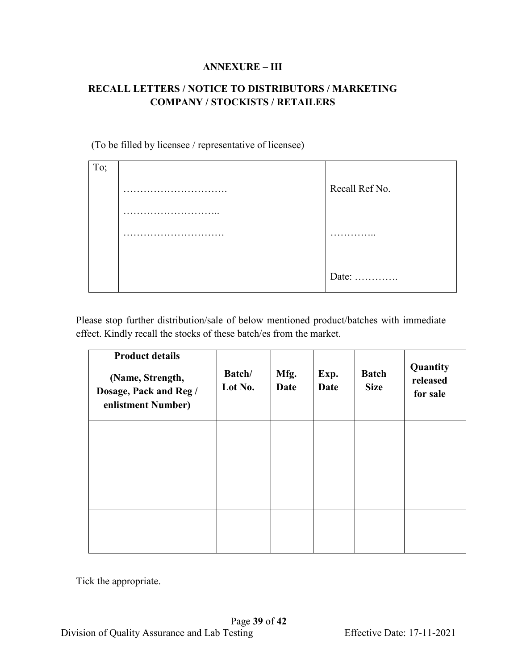#### **ANNEXURE – III**

### **RECALL LETTERS / NOTICE TO DISTRIBUTORS / MARKETING COMPANY / STOCKISTS / RETAILERS**

(To be filled by licensee / representative of licensee)

| To; |                |
|-----|----------------|
|     | Recall Ref No. |
|     |                |
|     | .              |
|     |                |
|     | Date:          |

Please stop further distribution/sale of below mentioned product/batches with immediate effect. Kindly recall the stocks of these batch/es from the market.

| <b>Product details</b><br>(Name, Strength,<br>Dosage, Pack and Reg /<br>enlistment Number) | Batch/<br>Lot No. | Mfg.<br><b>Date</b> | Exp.<br><b>Date</b> | <b>Batch</b><br><b>Size</b> | Quantity<br>released<br>for sale |
|--------------------------------------------------------------------------------------------|-------------------|---------------------|---------------------|-----------------------------|----------------------------------|
|                                                                                            |                   |                     |                     |                             |                                  |
|                                                                                            |                   |                     |                     |                             |                                  |
|                                                                                            |                   |                     |                     |                             |                                  |

Tick the appropriate.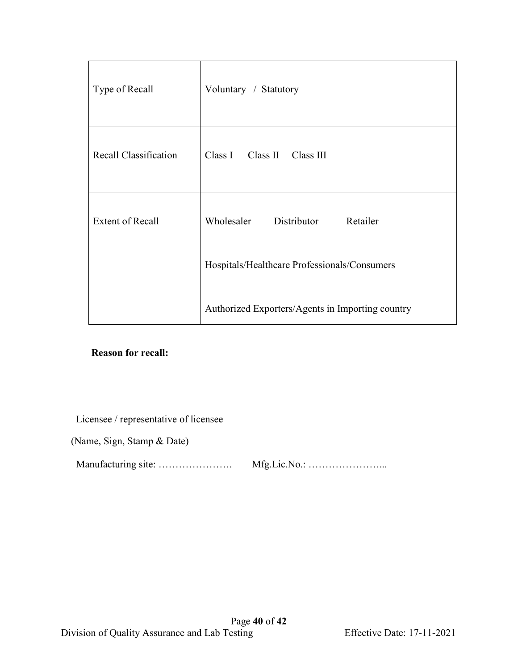| Type of Recall          | Voluntary / Statutory                            |
|-------------------------|--------------------------------------------------|
| Recall Classification   | Class I<br>Class II Class III                    |
| <b>Extent of Recall</b> | Wholesaler<br>Retailer<br>Distributor            |
|                         | Hospitals/Healthcare Professionals/Consumers     |
|                         | Authorized Exporters/Agents in Importing country |

#### **Reason for recall:**

Licensee / representative of licensee

(Name, Sign, Stamp & Date)

Manufacturing site: …………………. Mfg.Lic.No.: …………………...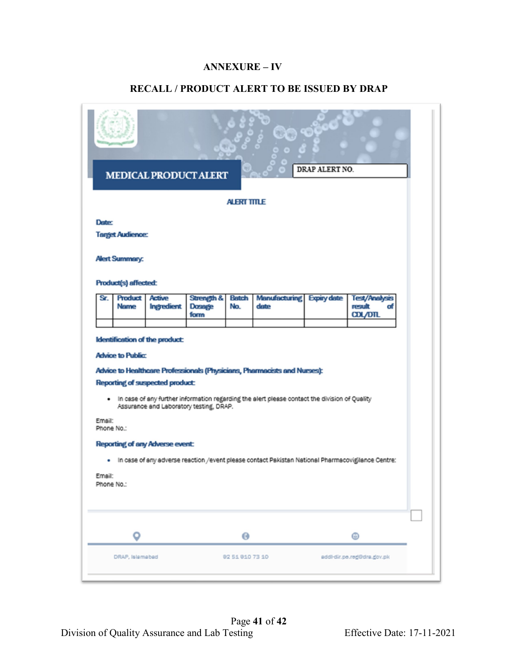#### **ANNEXURE – IV**

#### **RECALL / PRODUCT ALERT TO BE ISSUED BY DRAP**

| UD O<br>DRAP ALERT NO.<br><b>MEDICAL PRODUCT ALERT</b><br><b>ALERT TITLE</b>                                                                                                                                                                                                                                                                                                                                                                                                                          |                                 |               |               |                 |                           |  |                            |  |
|-------------------------------------------------------------------------------------------------------------------------------------------------------------------------------------------------------------------------------------------------------------------------------------------------------------------------------------------------------------------------------------------------------------------------------------------------------------------------------------------------------|---------------------------------|---------------|---------------|-----------------|---------------------------|--|----------------------------|--|
|                                                                                                                                                                                                                                                                                                                                                                                                                                                                                                       |                                 |               |               |                 |                           |  |                            |  |
| <b>Date:</b>                                                                                                                                                                                                                                                                                                                                                                                                                                                                                          |                                 |               |               |                 |                           |  |                            |  |
|                                                                                                                                                                                                                                                                                                                                                                                                                                                                                                       | <b>Target Audience:</b>         |               |               |                 |                           |  |                            |  |
|                                                                                                                                                                                                                                                                                                                                                                                                                                                                                                       | <b>Alert Summary:</b>           |               |               |                 |                           |  |                            |  |
| Sr.                                                                                                                                                                                                                                                                                                                                                                                                                                                                                                   | Product(s) affected:<br>Product | <b>Active</b> | Strength &    | <b>Betch</b>    | Manufacturing Expiry date |  | <b>Test/Analysis</b>       |  |
|                                                                                                                                                                                                                                                                                                                                                                                                                                                                                                       | <b>Name</b>                     | Ingredient    | <b>Dosage</b> | No.             | date                      |  | result<br>σf               |  |
|                                                                                                                                                                                                                                                                                                                                                                                                                                                                                                       |                                 |               | form          |                 |                           |  | <b>CDL/DTL</b>             |  |
| Identification of the product:<br><b>Advice to Public:</b><br>Advice to Healthcare Professionals (Physicians, Pharmacists and Nurses):<br><b>Reporting of suspected product:</b><br>. In case of any further information regarding the alert please contact the division of Quality<br>Assurance and Laboratory testing, DRAP.<br>Email:<br>Phone No.:<br><b>Reporting of any Adverse event:</b><br>In case of any adverse reaction /event please contact Pakistan National Pharmacovigilance Centre: |                                 |               |               |                 |                           |  |                            |  |
| Email:<br>Phone No.:                                                                                                                                                                                                                                                                                                                                                                                                                                                                                  |                                 |               |               |                 |                           |  |                            |  |
|                                                                                                                                                                                                                                                                                                                                                                                                                                                                                                       | o                               |               |               | $\bullet$       |                           |  | ⊕                          |  |
|                                                                                                                                                                                                                                                                                                                                                                                                                                                                                                       | DRAP, Islamabad                 |               |               | 82 51 810 73 10 |                           |  | addi-dir.pe.reg@dra.gov.pk |  |